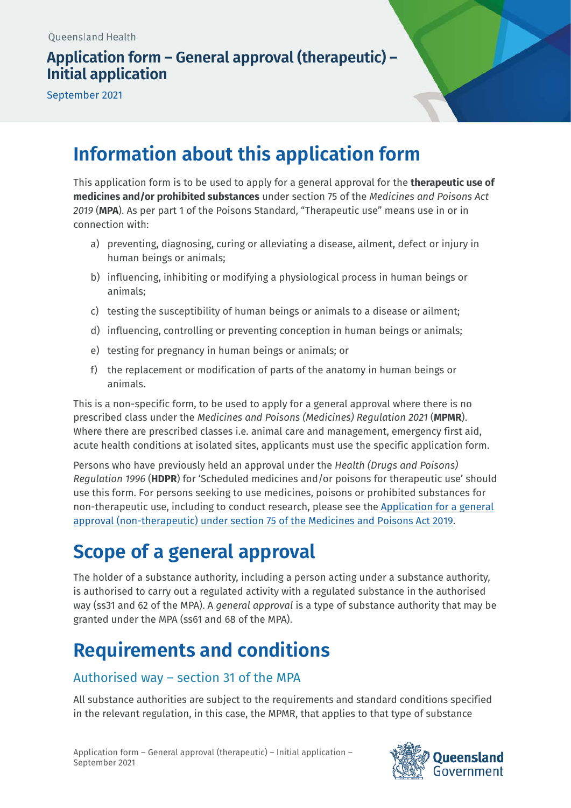# **Application form – General approval (therapeutic) – Initial application**

September 2021

# **Information about this application form**

This application form is to be used to apply for a general approval for the **therapeutic use of medicines and/or prohibited substances** under section 75 of the *Medicines and Poisons Act 2019* (**MPA**). As per part 1 of the Poisons Standard, "Therapeutic use" means use in or in connection with:

- a) preventing, diagnosing, curing or alleviating a disease, ailment, defect or injury in human beings or animals;
- b) influencing, inhibiting or modifying a physiological process in human beings or animals;
- c) testing the susceptibility of human beings or animals to a disease or ailment;
- d) influencing, controlling or preventing conception in human beings or animals;
- e) testing for pregnancy in human beings or animals; or
- f) the replacement or modification of parts of the anatomy in human beings or animals.

This is a non-specific form, to be used to apply for a general approval where there is no prescribed class under the *Medicines and Poisons (Medicines) Regulation 2021* (**MPMR**). Where there are prescribed classes i.e. animal care and management, emergency first aid, acute health conditions at isolated sites, applicants must use the specific application form.

Persons who have previously held an approval under the *Health (Drugs and Poisons) Regulation 1996* (**HDPR**) for 'Scheduled medicines and/or poisons for therapeutic use' should use this form. For persons seeking to use medicines, poisons or prohibited substances for [non-therapeutic use, including to conduct research, please see the Application for a](https://www.health.qld.gov.au/system-governance/licences/medicines-poisons/poisons/forms-fees) general approval (non-therapeutic) under section 75 of the Medicines and Poisons Act 2019.

# **Scope of a general approval**

The holder of a substance authority, including a person acting under a substance authority, is authorised to carry out a regulated activity with a regulated substance in the authorised way (ss31 and 62 of the MPA). A *general approval* is a type of substance authority that may be granted under the MPA (ss61 and 68 of the MPA).

# **Requirements and conditions**

# Authorised way – section 31 of the MPA

All substance authorities are subject to the requirements and standard conditions specified in the relevant regulation, in this case, the MPMR, that applies to that type of substance

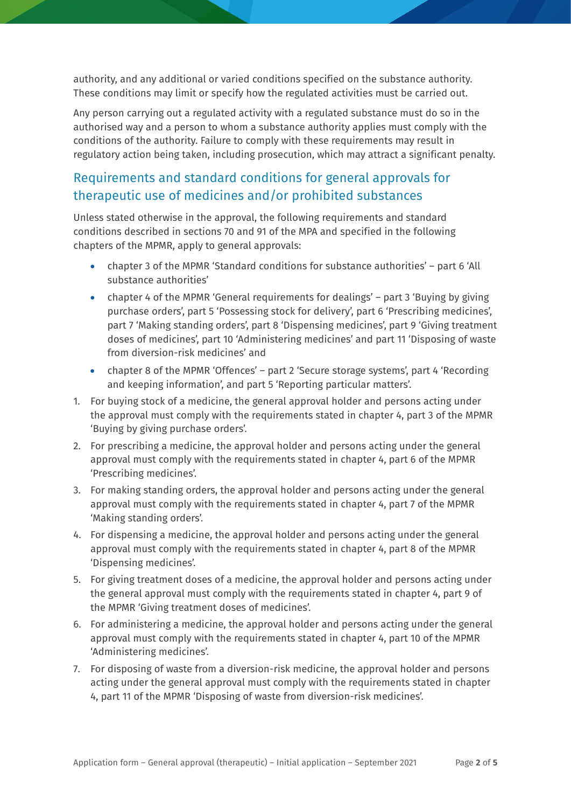authority, and any additional or varied conditions specified on the substance authority. These conditions may limit or specify how the regulated activities must be carried out.

Any person carrying out a regulated activity with a regulated substance must do so in the authorised way and a person to whom a substance authority applies must comply with the conditions of the authority. Failure to comply with these requirements may result in regulatory action being taken, including prosecution, which may attract a significant penalty.

# Requirements and standard conditions for general approvals for therapeutic use of medicines and/or prohibited substances

Unless stated otherwise in the approval, the following requirements and standard conditions described in sections 70 and 91 of the MPA and specified in the following chapters of the MPMR, apply to general approvals:

- chapter 3 of the MPMR 'Standard conditions for substance authorities' part 6 'All substance authorities'
- chapter 4 of the MPMR 'General requirements for dealings' part 3 'Buying by giving purchase orders', part 5 'Possessing stock for delivery', part 6 'Prescribing medicines', part 7 'Making standing orders', part 8 'Dispensing medicines', part 9 'Giving treatment doses of medicines', part 10 'Administering medicines' and part 11 'Disposing of waste from diversion-risk medicines' and
- chapter 8 of the MPMR 'Offences' part 2 'Secure storage systems', part 4 'Recording and keeping information', and part 5 'Reporting particular matters'.
- 1. For buying stock of a medicine, the general approval holder and persons acting under the approval must comply with the requirements stated in chapter 4, part 3 of the MPMR 'Buying by giving purchase orders'.
- 2. For prescribing a medicine, the approval holder and persons acting under the general approval must comply with the requirements stated in chapter 4, part 6 of the MPMR 'Prescribing medicines'.
- 3. For making standing orders, the approval holder and persons acting under the general approval must comply with the requirements stated in chapter 4, part 7 of the MPMR 'Making standing orders'.
- 4. For dispensing a medicine, the approval holder and persons acting under the general approval must comply with the requirements stated in chapter 4, part 8 of the MPMR 'Dispensing medicines'.
- 5. For giving treatment doses of a medicine, the approval holder and persons acting under the general approval must comply with the requirements stated in chapter 4, part 9 of the MPMR 'Giving treatment doses of medicines'.
- 6. For administering a medicine, the approval holder and persons acting under the general approval must comply with the requirements stated in chapter 4, part 10 of the MPMR 'Administering medicines'.
- 7. For disposing of waste from a diversion-risk medicine, the approval holder and persons acting under the general approval must comply with the requirements stated in chapter 4, part 11 of the MPMR 'Disposing of waste from diversion-risk medicines'.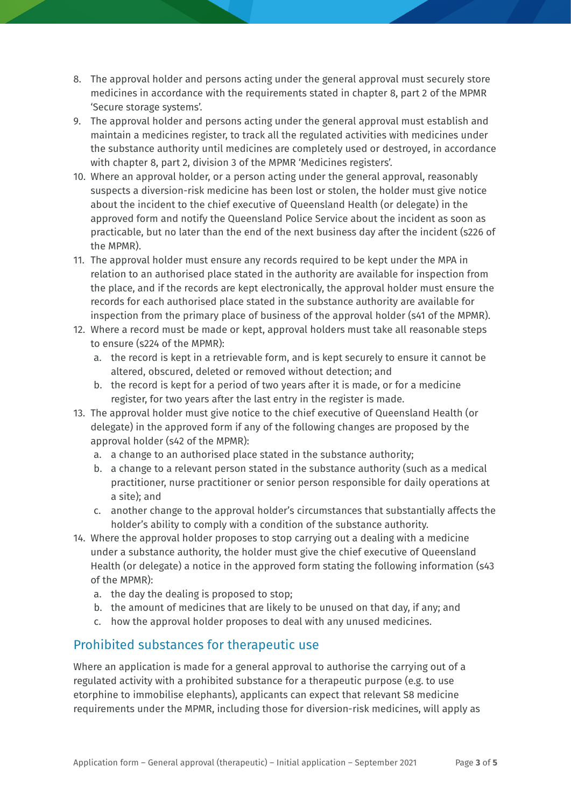- 8. The approval holder and persons acting under the general approval must securely store medicines in accordance with the requirements stated in chapter 8, part 2 of the MPMR 'Secure storage systems'.
- 9. The approval holder and persons acting under the general approval must establish and maintain a medicines register, to track all the regulated activities with medicines under the substance authority until medicines are completely used or destroyed, in accordance with chapter 8, part 2, division 3 of the MPMR 'Medicines registers'.
- 10. Where an approval holder, or a person acting under the general approval, reasonably suspects a diversion-risk medicine has been lost or stolen, the holder must give notice about the incident to the chief executive of Queensland Health (or delegate) in the approved form and notify the Queensland Police Service about the incident as soon as practicable, but no later than the end of the next business day after the incident (s226 of the MPMR).
- 11. The approval holder must ensure any records required to be kept under the MPA in relation to an authorised place stated in the authority are available for inspection from the place, and if the records are kept electronically, the approval holder must ensure the records for each authorised place stated in the substance authority are available for inspection from the primary place of business of the approval holder (s41 of the MPMR).
- 12. Where a record must be made or kept, approval holders must take all reasonable steps to ensure (s224 of the MPMR):
	- a. the record is kept in a retrievable form, and is kept securely to ensure it cannot be altered, obscured, deleted or removed without detection; and
	- b. the record is kept for a period of two years after it is made, or for a medicine register, for two years after the last entry in the register is made.
- 13. The approval holder must give notice to the chief executive of Queensland Health (or delegate) in the approved form if any of the following changes are proposed by the approval holder (s42 of the MPMR):
	- a. a change to an authorised place stated in the substance authority;
	- b. a change to a relevant person stated in the substance authority (such as a medical practitioner, nurse practitioner or senior person responsible for daily operations at a site); and
	- c. another change to the approval holder's circumstances that substantially affects the holder's ability to comply with a condition of the substance authority.
- 14. Where the approval holder proposes to stop carrying out a dealing with a medicine under a substance authority, the holder must give the chief executive of Queensland Health (or delegate) a notice in the approved form stating the following information (s43 of the MPMR):
	- a. the day the dealing is proposed to stop;
	- b. the amount of medicines that are likely to be unused on that day, if any; and
	- c. how the approval holder proposes to deal with any unused medicines.

# Prohibited substances for therapeutic use

Where an application is made for a general approval to authorise the carrying out of a regulated activity with a prohibited substance for a therapeutic purpose (e.g. to use etorphine to immobilise elephants), applicants can expect that relevant S8 medicine requirements under the MPMR, including those for diversion-risk medicines, will apply as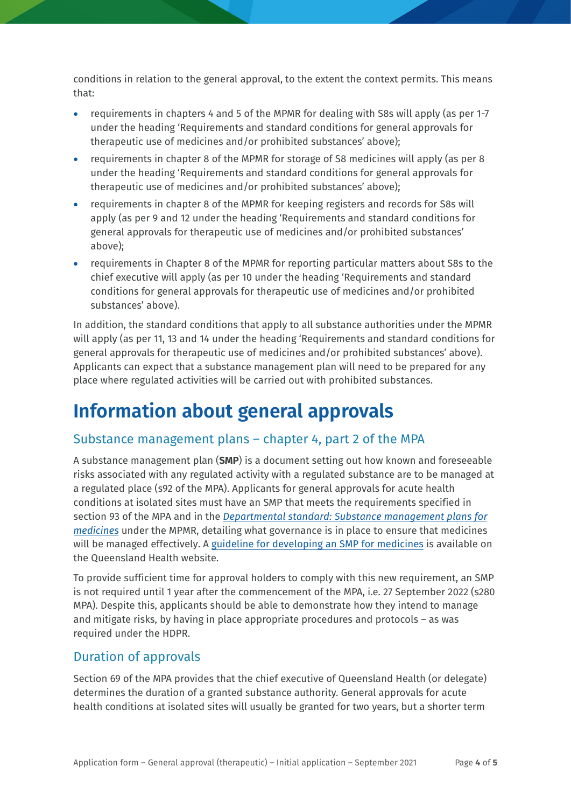conditions in relation to the general approval, to the extent the context permits. This means that:

- requirements in chapters 4 and 5 of the MPMR for dealing with S8s will apply (as per 1-7 under the heading 'Requirements and standard conditions for general approvals for therapeutic use of medicines and/or prohibited substances' above);
- requirements in chapter 8 of the MPMR for storage of S8 medicines will apply (as per 8 under the heading 'Requirements and standard conditions for general approvals for therapeutic use of medicines and/or prohibited substances' above);
- requirements in chapter 8 of the MPMR for keeping registers and records for S8s will apply (as per 9 and 12 under the heading 'Requirements and standard conditions for general approvals for therapeutic use of medicines and/or prohibited substances' above);
- requirements in Chapter 8 of the MPMR for reporting particular matters about S8s to the chief executive will apply (as per 10 under the heading 'Requirements and standard conditions for general approvals for therapeutic use of medicines and/or prohibited substances' above).

In addition, the standard conditions that apply to all substance authorities under the MPMR will apply (as per 11, 13 and 14 under the heading 'Requirements and standard conditions for general approvals for therapeutic use of medicines and/or prohibited substances' above). Applicants can expect that a substance management plan will need to be prepared for any place where regulated activities will be carried out with prohibited substances.

# **Information about general approvals**

# Substance management plans – chapter 4, part 2 of the MPA

A substance management plan (**SMP**) is a document setting out how known and foreseeable risks associated with any regulated activity with a regulated substance are to be managed at a regulated place (s92 of the MPA). Applicants for general approvals for acute health conditions at isolated sites must have an SMP that meets the requirements specified in section 93 of the MPA and in the *[Departmental standard: Substance management plans for](https://www.health.qld.gov.au/publications/system-governance/licences/medicines-poisons/mpa/ds-substance-management-plans-medicines.pdf)  [medicines](https://www.health.qld.gov.au/publications/system-governance/licences/medicines-poisons/mpa/ds-substance-management-plans-medicines.pdf)* [under the MPMR, detailing what governance is in place to ensure that medicines](https://www.health.qld.gov.au/__data/assets/pdf_file/0023/1108940/ds-substance-management-plans-medicines.pdf) will be managed effectively. A [guideline for developing an SMP for medicines](https://www.health.qld.gov.au/__data/assets/pdf_file/0026/1110788/guide-smp-medicines.pdf) is available on the Queensland Health website.

To provide sufficient time for approval holders to comply with this new requirement, an SMP is not required until 1 year after the commencement of the MPA, i.e. 27 September 2022 (s280 MPA). Despite this, applicants should be able to demonstrate how they intend to manage and mitigate risks, by having in place appropriate procedures and protocols – as was required under the HDPR.

# Duration of approvals

Section 69 of the MPA provides that the chief executive of Queensland Health (or delegate) determines the duration of a granted substance authority. General approvals for acute health conditions at isolated sites will usually be granted for two years, but a shorter term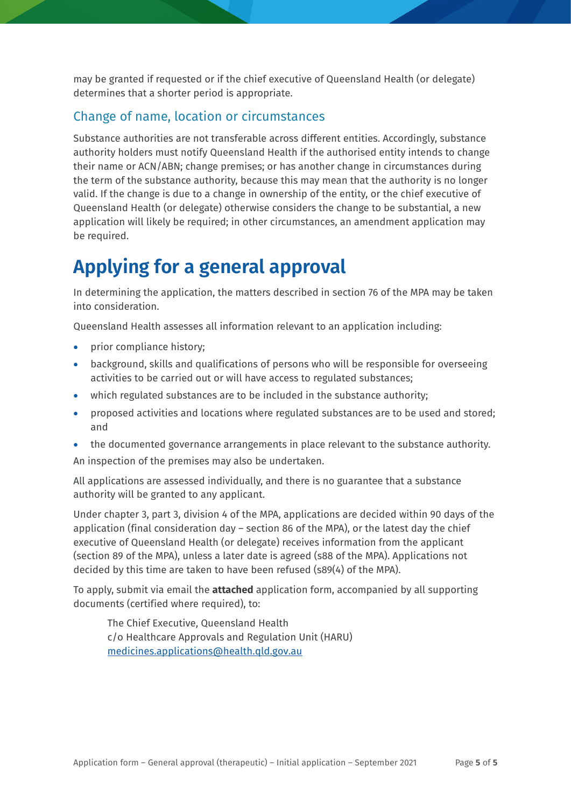may be granted if requested or if the chief executive of Queensland Health (or delegate) determines that a shorter period is appropriate.

### Change of name, location or circumstances

Substance authorities are not transferable across different entities. Accordingly, substance authority holders must notify Queensland Health if the authorised entity intends to change their name or ACN/ABN; change premises; or has another change in circumstances during the term of the substance authority, because this may mean that the authority is no longer valid. If the change is due to a change in ownership of the entity, or the chief executive of Queensland Health (or delegate) otherwise considers the change to be substantial, a new application will likely be required; in other circumstances, an amendment application may be required.

# **Applying for a general approval**

In determining the application, the matters described in section 76 of the MPA may be taken into consideration.

Queensland Health assesses all information relevant to an application including:

- prior compliance history;
- background, skills and qualifications of persons who will be responsible for overseeing activities to be carried out or will have access to regulated substances;
- which regulated substances are to be included in the substance authority;
- proposed activities and locations where regulated substances are to be used and stored; and
- the documented governance arrangements in place relevant to the substance authority.

An inspection of the premises may also be undertaken.

All applications are assessed individually, and there is no guarantee that a substance authority will be granted to any applicant.

Under chapter 3, part 3, division 4 of the MPA, applications are decided within 90 days of the application (final consideration day – section 86 of the MPA), or the latest day the chief executive of Queensland Health (or delegate) receives information from the applicant (section 89 of the MPA), unless a later date is agreed (s88 of the MPA). Applications not decided by this time are taken to have been refused (s89(4) of the MPA).

To apply, submit via email the **attached** application form, accompanied by all supporting documents (certified where required), to:

The Chief Executive, Queensland Health c/o Healthcare Approvals and Regulation Unit (HARU) [medicines.applications@health.qld.gov.au](mailto:medicines.applications@health.qld.gov.au)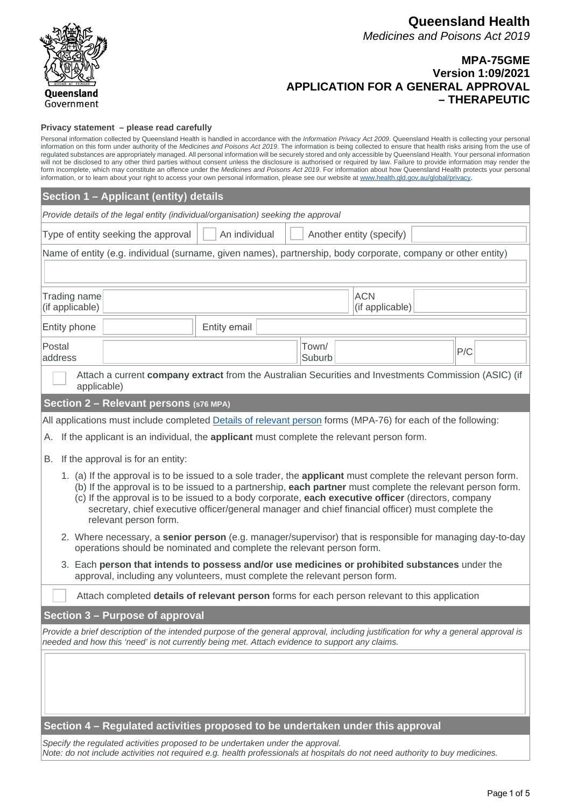

### **MPA-75GME Version 1:09/2021 APPLICATION FOR A GENERAL APPROVAL – THERAPEUTIC**

#### **Privacy statement – please read carefully**

Personal information collected by Queensland Health is handled in accordance with the *Information Privacy Act 2009*. Queensland Health is collecting your personal information on this form under authority of the *Medicines and Poisons Act 2019*. The information is being collected to ensure that health risks arising from the use of<br>regulated substances are appropriately managed. All p will not be disclosed to any other third parties without consent unless the disclosure is authorised or required by law. Failure to provide information may render the form incomplete, which may constitute an offence under the *Medicines and Poisons Act 2019*. For information about how Queensland Health protects your personal information, or to learn about your right to access your own personal information, please see our website at www.health.qld.gov.au/global/privacy.

|                                                                                                                                                                                                                                                                                                                                                                                                                                                                   | Section 1 - Applicant (entity) details                                                                                                                                                                        |     |  |  |  |  |  |  |
|-------------------------------------------------------------------------------------------------------------------------------------------------------------------------------------------------------------------------------------------------------------------------------------------------------------------------------------------------------------------------------------------------------------------------------------------------------------------|---------------------------------------------------------------------------------------------------------------------------------------------------------------------------------------------------------------|-----|--|--|--|--|--|--|
|                                                                                                                                                                                                                                                                                                                                                                                                                                                                   | Provide details of the legal entity (individual/organisation) seeking the approval                                                                                                                            |     |  |  |  |  |  |  |
| Type of entity seeking the approval<br>An individual<br>Another entity (specify)                                                                                                                                                                                                                                                                                                                                                                                  |                                                                                                                                                                                                               |     |  |  |  |  |  |  |
|                                                                                                                                                                                                                                                                                                                                                                                                                                                                   | Name of entity (e.g. individual (surname, given names), partnership, body corporate, company or other entity)                                                                                                 |     |  |  |  |  |  |  |
|                                                                                                                                                                                                                                                                                                                                                                                                                                                                   |                                                                                                                                                                                                               |     |  |  |  |  |  |  |
| Trading name<br>(if applicable)                                                                                                                                                                                                                                                                                                                                                                                                                                   | <b>ACN</b><br>(if applicable)                                                                                                                                                                                 |     |  |  |  |  |  |  |
| Entity phone                                                                                                                                                                                                                                                                                                                                                                                                                                                      | Entity email                                                                                                                                                                                                  |     |  |  |  |  |  |  |
| Postal<br>address                                                                                                                                                                                                                                                                                                                                                                                                                                                 | Town/<br>Suburb                                                                                                                                                                                               | P/C |  |  |  |  |  |  |
| applicable)                                                                                                                                                                                                                                                                                                                                                                                                                                                       | Attach a current company extract from the Australian Securities and Investments Commission (ASIC) (if                                                                                                         |     |  |  |  |  |  |  |
|                                                                                                                                                                                                                                                                                                                                                                                                                                                                   | Section 2 - Relevant persons (s76 MPA)                                                                                                                                                                        |     |  |  |  |  |  |  |
|                                                                                                                                                                                                                                                                                                                                                                                                                                                                   | All applications must include completed Details of relevant person forms (MPA-76) for each of the following:                                                                                                  |     |  |  |  |  |  |  |
| А.                                                                                                                                                                                                                                                                                                                                                                                                                                                                | If the applicant is an individual, the applicant must complete the relevant person form.                                                                                                                      |     |  |  |  |  |  |  |
| В.                                                                                                                                                                                                                                                                                                                                                                                                                                                                | If the approval is for an entity:                                                                                                                                                                             |     |  |  |  |  |  |  |
| 1. (a) If the approval is to be issued to a sole trader, the applicant must complete the relevant person form.<br>(b) If the approval is to be issued to a partnership, each partner must complete the relevant person form.<br>(c) If the approval is to be issued to a body corporate, each executive officer (directors, company<br>secretary, chief executive officer/general manager and chief financial officer) must complete the<br>relevant person form. |                                                                                                                                                                                                               |     |  |  |  |  |  |  |
|                                                                                                                                                                                                                                                                                                                                                                                                                                                                   | 2. Where necessary, a senior person (e.g. manager/supervisor) that is responsible for managing day-to-day<br>operations should be nominated and complete the relevant person form.                            |     |  |  |  |  |  |  |
| 3. Each person that intends to possess and/or use medicines or prohibited substances under the<br>approval, including any volunteers, must complete the relevant person form.                                                                                                                                                                                                                                                                                     |                                                                                                                                                                                                               |     |  |  |  |  |  |  |
|                                                                                                                                                                                                                                                                                                                                                                                                                                                                   | Attach completed details of relevant person forms for each person relevant to this application                                                                                                                |     |  |  |  |  |  |  |
|                                                                                                                                                                                                                                                                                                                                                                                                                                                                   | Section 3 - Purpose of approval                                                                                                                                                                               |     |  |  |  |  |  |  |
| Provide a brief description of the intended purpose of the general approval, including justification for why a general approval is<br>needed and how this 'need' is not currently being met. Attach evidence to support any claims.                                                                                                                                                                                                                               |                                                                                                                                                                                                               |     |  |  |  |  |  |  |
|                                                                                                                                                                                                                                                                                                                                                                                                                                                                   |                                                                                                                                                                                                               |     |  |  |  |  |  |  |
| Section 4 - Regulated activities proposed to be undertaken under this approval                                                                                                                                                                                                                                                                                                                                                                                    |                                                                                                                                                                                                               |     |  |  |  |  |  |  |
|                                                                                                                                                                                                                                                                                                                                                                                                                                                                   | Specify the regulated activities proposed to be undertaken under the approval.<br>Note: do not include activities not required e.g. health professionals at hospitals do not need authority to buy medicines. |     |  |  |  |  |  |  |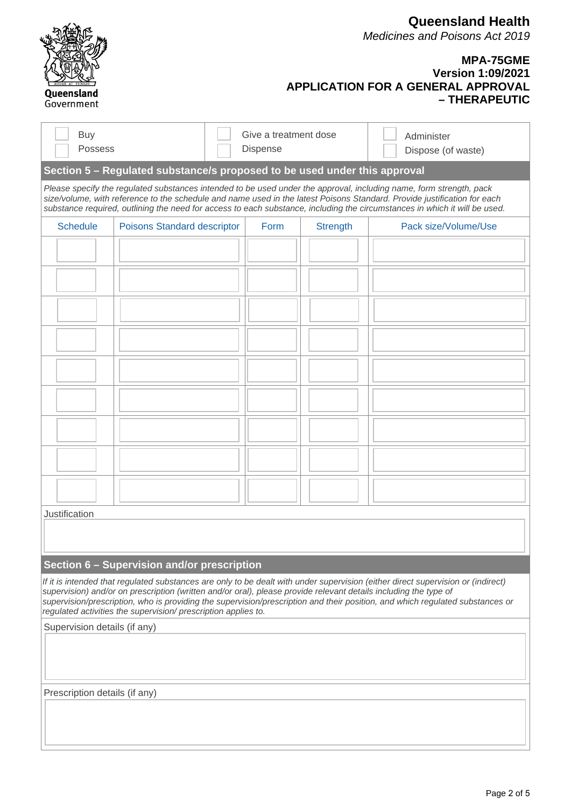|                                                                                                                                                                                                                                                                                                                                                                                                                                                         |  |                                          |                 | <b>Queensland Health</b><br><b>Medicines and Poisons Act 2019</b>                                          |  |  |  |  |
|---------------------------------------------------------------------------------------------------------------------------------------------------------------------------------------------------------------------------------------------------------------------------------------------------------------------------------------------------------------------------------------------------------------------------------------------------------|--|------------------------------------------|-----------------|------------------------------------------------------------------------------------------------------------|--|--|--|--|
| Queensland<br>Government                                                                                                                                                                                                                                                                                                                                                                                                                                |  |                                          |                 | <b>MPA-75GME</b><br><b>Version 1:09/2021</b><br><b>APPLICATION FOR A GENERAL APPROVAL</b><br>- THERAPEUTIC |  |  |  |  |
| <b>Buy</b><br>Possess                                                                                                                                                                                                                                                                                                                                                                                                                                   |  | Give a treatment dose<br><b>Dispense</b> |                 | Administer<br>Dispose (of waste)                                                                           |  |  |  |  |
| Section 5 – Regulated substance/s proposed to be used under this approval                                                                                                                                                                                                                                                                                                                                                                               |  |                                          |                 |                                                                                                            |  |  |  |  |
| Please specify the regulated substances intended to be used under the approval, including name, form strength, pack<br>size/volume, with reference to the schedule and name used in the latest Poisons Standard. Provide justification for each<br>substance required, outlining the need for access to each substance, including the circumstances in which it will be used.                                                                           |  |                                          |                 |                                                                                                            |  |  |  |  |
| <b>Schedule</b><br><b>Poisons Standard descriptor</b>                                                                                                                                                                                                                                                                                                                                                                                                   |  | Form                                     | <b>Strength</b> | Pack size/Volume/Use                                                                                       |  |  |  |  |
|                                                                                                                                                                                                                                                                                                                                                                                                                                                         |  |                                          |                 |                                                                                                            |  |  |  |  |
|                                                                                                                                                                                                                                                                                                                                                                                                                                                         |  |                                          |                 |                                                                                                            |  |  |  |  |
|                                                                                                                                                                                                                                                                                                                                                                                                                                                         |  |                                          |                 |                                                                                                            |  |  |  |  |
|                                                                                                                                                                                                                                                                                                                                                                                                                                                         |  |                                          |                 |                                                                                                            |  |  |  |  |
|                                                                                                                                                                                                                                                                                                                                                                                                                                                         |  |                                          |                 |                                                                                                            |  |  |  |  |
|                                                                                                                                                                                                                                                                                                                                                                                                                                                         |  |                                          |                 |                                                                                                            |  |  |  |  |
|                                                                                                                                                                                                                                                                                                                                                                                                                                                         |  |                                          |                 |                                                                                                            |  |  |  |  |
|                                                                                                                                                                                                                                                                                                                                                                                                                                                         |  |                                          |                 |                                                                                                            |  |  |  |  |
|                                                                                                                                                                                                                                                                                                                                                                                                                                                         |  |                                          |                 |                                                                                                            |  |  |  |  |
| Justification                                                                                                                                                                                                                                                                                                                                                                                                                                           |  |                                          |                 |                                                                                                            |  |  |  |  |
|                                                                                                                                                                                                                                                                                                                                                                                                                                                         |  |                                          |                 |                                                                                                            |  |  |  |  |
| Section 6 - Supervision and/or prescription                                                                                                                                                                                                                                                                                                                                                                                                             |  |                                          |                 |                                                                                                            |  |  |  |  |
| If it is intended that regulated substances are only to be dealt with under supervision (either direct supervision or (indirect)<br>supervision) and/or on prescription (written and/or oral), please provide relevant details including the type of<br>supervision/prescription, who is providing the supervision/prescription and their position, and which regulated substances or<br>regulated activities the supervision/ prescription applies to. |  |                                          |                 |                                                                                                            |  |  |  |  |
| Supervision details (if any)                                                                                                                                                                                                                                                                                                                                                                                                                            |  |                                          |                 |                                                                                                            |  |  |  |  |
|                                                                                                                                                                                                                                                                                                                                                                                                                                                         |  |                                          |                 |                                                                                                            |  |  |  |  |

Prescription details (if any)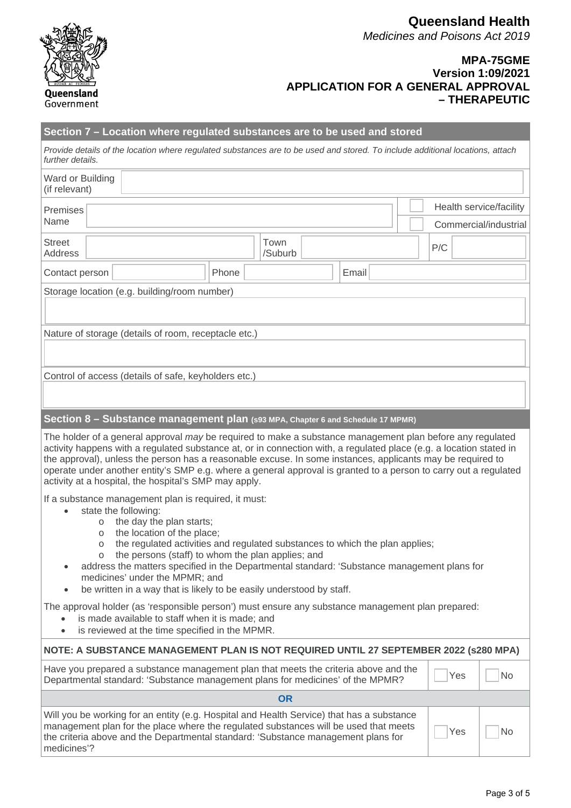

#### **MPA-75GME Version 1:09/2021 APPLICATION FOR A GENERAL APPROVAL – THERAPEUTIC**

| Section 7 – Location where regulated substances are to be used and stored                                                                                                                                                                                                                                                                                                                                                                                                                                                               |  |  |         |  |  |  |  |     |     |           |
|-----------------------------------------------------------------------------------------------------------------------------------------------------------------------------------------------------------------------------------------------------------------------------------------------------------------------------------------------------------------------------------------------------------------------------------------------------------------------------------------------------------------------------------------|--|--|---------|--|--|--|--|-----|-----|-----------|
| Provide details of the location where regulated substances are to be used and stored. To include additional locations, attach<br>further details.                                                                                                                                                                                                                                                                                                                                                                                       |  |  |         |  |  |  |  |     |     |           |
| Ward or Building<br>(if relevant)                                                                                                                                                                                                                                                                                                                                                                                                                                                                                                       |  |  |         |  |  |  |  |     |     |           |
| Health service/facility<br>Premises<br>Name<br>Commercial/industrial                                                                                                                                                                                                                                                                                                                                                                                                                                                                    |  |  |         |  |  |  |  |     |     |           |
| <b>Street</b>                                                                                                                                                                                                                                                                                                                                                                                                                                                                                                                           |  |  | Town    |  |  |  |  |     |     |           |
| <b>Address</b>                                                                                                                                                                                                                                                                                                                                                                                                                                                                                                                          |  |  | /Suburb |  |  |  |  | P/C |     |           |
| Phone<br>Email<br>Contact person                                                                                                                                                                                                                                                                                                                                                                                                                                                                                                        |  |  |         |  |  |  |  |     |     |           |
| Storage location (e.g. building/room number)                                                                                                                                                                                                                                                                                                                                                                                                                                                                                            |  |  |         |  |  |  |  |     |     |           |
|                                                                                                                                                                                                                                                                                                                                                                                                                                                                                                                                         |  |  |         |  |  |  |  |     |     |           |
| Nature of storage (details of room, receptacle etc.)                                                                                                                                                                                                                                                                                                                                                                                                                                                                                    |  |  |         |  |  |  |  |     |     |           |
|                                                                                                                                                                                                                                                                                                                                                                                                                                                                                                                                         |  |  |         |  |  |  |  |     |     |           |
| Control of access (details of safe, keyholders etc.)                                                                                                                                                                                                                                                                                                                                                                                                                                                                                    |  |  |         |  |  |  |  |     |     |           |
|                                                                                                                                                                                                                                                                                                                                                                                                                                                                                                                                         |  |  |         |  |  |  |  |     |     |           |
|                                                                                                                                                                                                                                                                                                                                                                                                                                                                                                                                         |  |  |         |  |  |  |  |     |     |           |
| Section 8 - Substance management plan (s93 MPA, Chapter 6 and Schedule 17 MPMR)                                                                                                                                                                                                                                                                                                                                                                                                                                                         |  |  |         |  |  |  |  |     |     |           |
| The holder of a general approval may be required to make a substance management plan before any regulated<br>activity happens with a regulated substance at, or in connection with, a regulated place (e.g. a location stated in<br>the approval), unless the person has a reasonable excuse. In some instances, applicants may be required to<br>operate under another entity's SMP e.g. where a general approval is granted to a person to carry out a regulated<br>activity at a hospital, the hospital's SMP may apply.             |  |  |         |  |  |  |  |     |     |           |
| If a substance management plan is required, it must:<br>state the following:<br>the day the plan starts;<br>$\circ$<br>the location of the place;<br>$\circ$<br>the regulated activities and regulated substances to which the plan applies;<br>$\circ$<br>the persons (staff) to whom the plan applies; and<br>O<br>address the matters specified in the Departmental standard: 'Substance management plans for<br>medicines' under the MPMR; and<br>be written in a way that is likely to be easily understood by staff.<br>$\bullet$ |  |  |         |  |  |  |  |     |     |           |
| The approval holder (as 'responsible person') must ensure any substance management plan prepared:<br>is made available to staff when it is made; and<br>is reviewed at the time specified in the MPMR.<br>$\bullet$                                                                                                                                                                                                                                                                                                                     |  |  |         |  |  |  |  |     |     |           |
| NOTE: A SUBSTANCE MANAGEMENT PLAN IS NOT REQUIRED UNTIL 27 SEPTEMBER 2022 (s280 MPA)                                                                                                                                                                                                                                                                                                                                                                                                                                                    |  |  |         |  |  |  |  |     |     |           |
| Have you prepared a substance management plan that meets the criteria above and the<br>Departmental standard: 'Substance management plans for medicines' of the MPMR?                                                                                                                                                                                                                                                                                                                                                                   |  |  |         |  |  |  |  |     | Yes | <b>No</b> |
| <b>OR</b>                                                                                                                                                                                                                                                                                                                                                                                                                                                                                                                               |  |  |         |  |  |  |  |     |     |           |
| Will you be working for an entity (e.g. Hospital and Health Service) that has a substance<br>management plan for the place where the regulated substances will be used that meets<br>Yes<br>No<br>the criteria above and the Departmental standard: 'Substance management plans for<br>medicines'?                                                                                                                                                                                                                                      |  |  |         |  |  |  |  |     |     |           |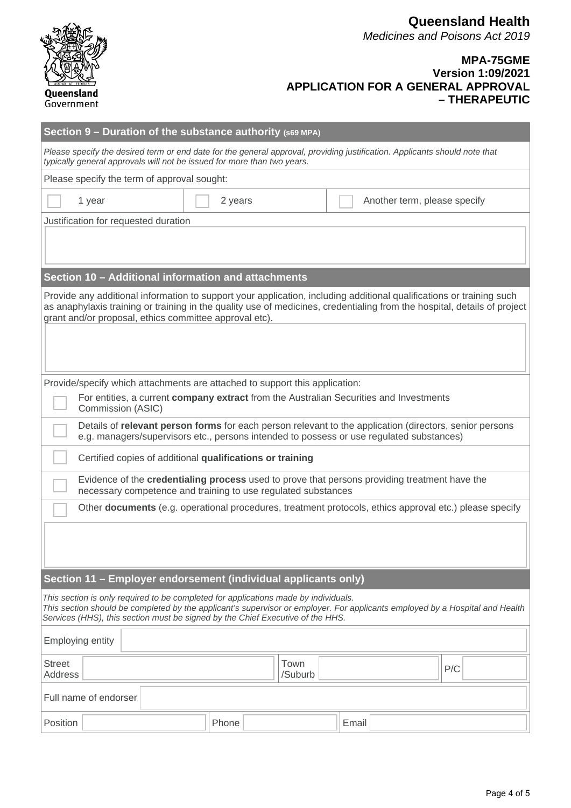

### **MPA-75GME Version 1:09/2021 APPLICATION FOR A GENERAL APPROVAL – THERAPEUTIC**

| Section $9$ – Duration of the substance authority (s69 MPA)                                                                                                                                                                                                                                           |         |      |       |                              |     |  |  |  |  |
|-------------------------------------------------------------------------------------------------------------------------------------------------------------------------------------------------------------------------------------------------------------------------------------------------------|---------|------|-------|------------------------------|-----|--|--|--|--|
| Please specify the desired term or end date for the general approval, providing justification. Applicants should note that<br>typically general approvals will not be issued for more than two years.                                                                                                 |         |      |       |                              |     |  |  |  |  |
| Please specify the term of approval sought:                                                                                                                                                                                                                                                           |         |      |       |                              |     |  |  |  |  |
| 1 year                                                                                                                                                                                                                                                                                                | 2 years |      |       | Another term, please specify |     |  |  |  |  |
| Justification for requested duration                                                                                                                                                                                                                                                                  |         |      |       |                              |     |  |  |  |  |
|                                                                                                                                                                                                                                                                                                       |         |      |       |                              |     |  |  |  |  |
|                                                                                                                                                                                                                                                                                                       |         |      |       |                              |     |  |  |  |  |
| Section 10 - Additional information and attachments                                                                                                                                                                                                                                                   |         |      |       |                              |     |  |  |  |  |
| Provide any additional information to support your application, including additional qualifications or training such<br>as anaphylaxis training or training in the quality use of medicines, credentialing from the hospital, details of project                                                      |         |      |       |                              |     |  |  |  |  |
| grant and/or proposal, ethics committee approval etc).                                                                                                                                                                                                                                                |         |      |       |                              |     |  |  |  |  |
|                                                                                                                                                                                                                                                                                                       |         |      |       |                              |     |  |  |  |  |
|                                                                                                                                                                                                                                                                                                       |         |      |       |                              |     |  |  |  |  |
| Provide/specify which attachments are attached to support this application:                                                                                                                                                                                                                           |         |      |       |                              |     |  |  |  |  |
| For entities, a current company extract from the Australian Securities and Investments                                                                                                                                                                                                                |         |      |       |                              |     |  |  |  |  |
| Commission (ASIC)                                                                                                                                                                                                                                                                                     |         |      |       |                              |     |  |  |  |  |
| Details of relevant person forms for each person relevant to the application (directors, senior persons<br>e.g. managers/supervisors etc., persons intended to possess or use regulated substances)                                                                                                   |         |      |       |                              |     |  |  |  |  |
| Certified copies of additional qualifications or training                                                                                                                                                                                                                                             |         |      |       |                              |     |  |  |  |  |
| Evidence of the credentialing process used to prove that persons providing treatment have the<br>necessary competence and training to use regulated substances                                                                                                                                        |         |      |       |                              |     |  |  |  |  |
| Other documents (e.g. operational procedures, treatment protocols, ethics approval etc.) please specify                                                                                                                                                                                               |         |      |       |                              |     |  |  |  |  |
|                                                                                                                                                                                                                                                                                                       |         |      |       |                              |     |  |  |  |  |
|                                                                                                                                                                                                                                                                                                       |         |      |       |                              |     |  |  |  |  |
|                                                                                                                                                                                                                                                                                                       |         |      |       |                              |     |  |  |  |  |
| Section 11 - Employer endorsement (individual applicants only)                                                                                                                                                                                                                                        |         |      |       |                              |     |  |  |  |  |
| This section is only required to be completed for applications made by individuals.<br>This section should be completed by the applicant's supervisor or employer. For applicants employed by a Hospital and Health<br>Services (HHS), this section must be signed by the Chief Executive of the HHS. |         |      |       |                              |     |  |  |  |  |
| <b>Employing entity</b>                                                                                                                                                                                                                                                                               |         |      |       |                              |     |  |  |  |  |
| <b>Street</b>                                                                                                                                                                                                                                                                                         |         | Town |       |                              | P/C |  |  |  |  |
| /Suburb<br><b>Address</b>                                                                                                                                                                                                                                                                             |         |      |       |                              |     |  |  |  |  |
| Full name of endorser                                                                                                                                                                                                                                                                                 |         |      |       |                              |     |  |  |  |  |
| Position                                                                                                                                                                                                                                                                                              | Phone   |      | Email |                              |     |  |  |  |  |